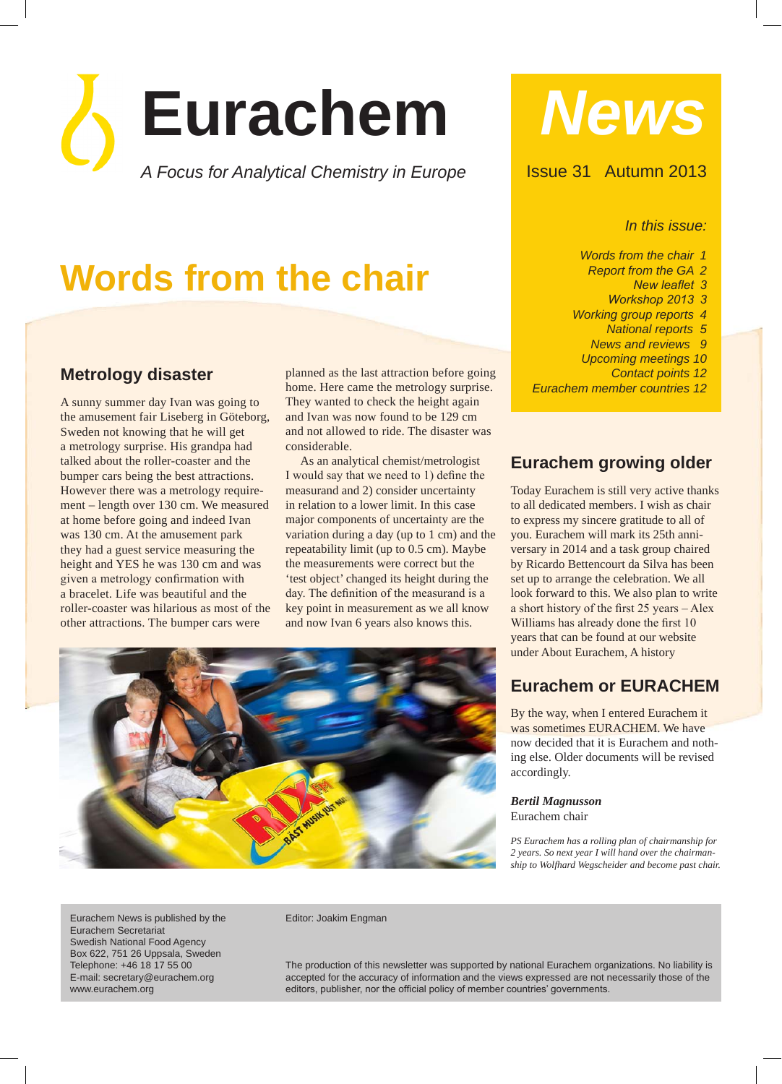

*A Focus for Analytical Chemistry in Europe*

# *News*

### Issue 31 Autumn 2013

*In this issue:*

*New leaflet 3 Workshop 2013 3 Working group reports 4 National reports 5 News and reviews 9 Upcoming meetings 10 Contact points 12*

*Words from the chair 1 Report from the GA 2*

## **Words from the chair**

## **Metrology disaster**

A sunny summer day Ivan was going to the amusement fair Liseberg in Göteborg, Sweden not knowing that he will get a metrology surprise. His grandpa had talked about the roller-coaster and the bumper cars being the best attractions. However there was a metrology requirement – length over 130 cm. We measured at home before going and indeed Ivan was 130 cm. At the amusement park they had a guest service measuring the height and YES he was 130 cm and was given a metrology confirmation with a bracelet. Life was beautiful and the roller-coaster was hilarious as most of the other attractions. The bumper cars were

planned as the last attraction before going home. Here came the metrology surprise. They wanted to check the height again and Ivan was now found to be 129 cm and not allowed to ride. The disaster was considerable.

 As an analytical chemist/metrologist I would say that we need to 1) define the measurand and 2) consider uncertainty in relation to a lower limit. In this case major components of uncertainty are the variation during a day (up to 1 cm) and the repeatability limit (up to 0.5 cm). Maybe the measurements were correct but the 'test object' changed its height during the day. The definition of the measurand is a key point in measurement as we all know and now Ivan 6 years also knows this.



## **Eurachem growing older**

*Eurachem member countries 12*

Today Eurachem is still very active thanks to all dedicated members. I wish as chair to express my sincere gratitude to all of you. Eurachem will mark its 25th anniversary in 2014 and a task group chaired by Ricardo Bettencourt da Silva has been set up to arrange the celebration. We all look forward to this. We also plan to write a short history of the first 25 years – Alex Williams has already done the first 10 years that can be found at our website under About Eurachem, A history

## **Eurachem or EURACHEM**

By the way, when I entered Eurachem it was sometimes EURACHEM. We have now decided that it is Eurachem and nothing else. Older documents will be revised accordingly.

*Bertil Magnusson*  Eurachem chair

*PS Eurachem has a rolling plan of chairmanship for 2 years. So next year I will hand over the chairmanship to Wolfhard Wegscheider and become past chair.*

Eurachem News is published by the Eurachem Secretariat Swedish National Food Agency Box 622, 751 26 Uppsala, Sweden Telephone: +46 18 17 55 00 E-mail: secretary@eurachem.org www.eurachem.org

Editor: Joakim Engman

The production of this newsletter was supported by national Eurachem organizations. No liability is accepted for the accuracy of information and the views expressed are not necessarily those of the editors, publisher, nor the official policy of member countries' governments.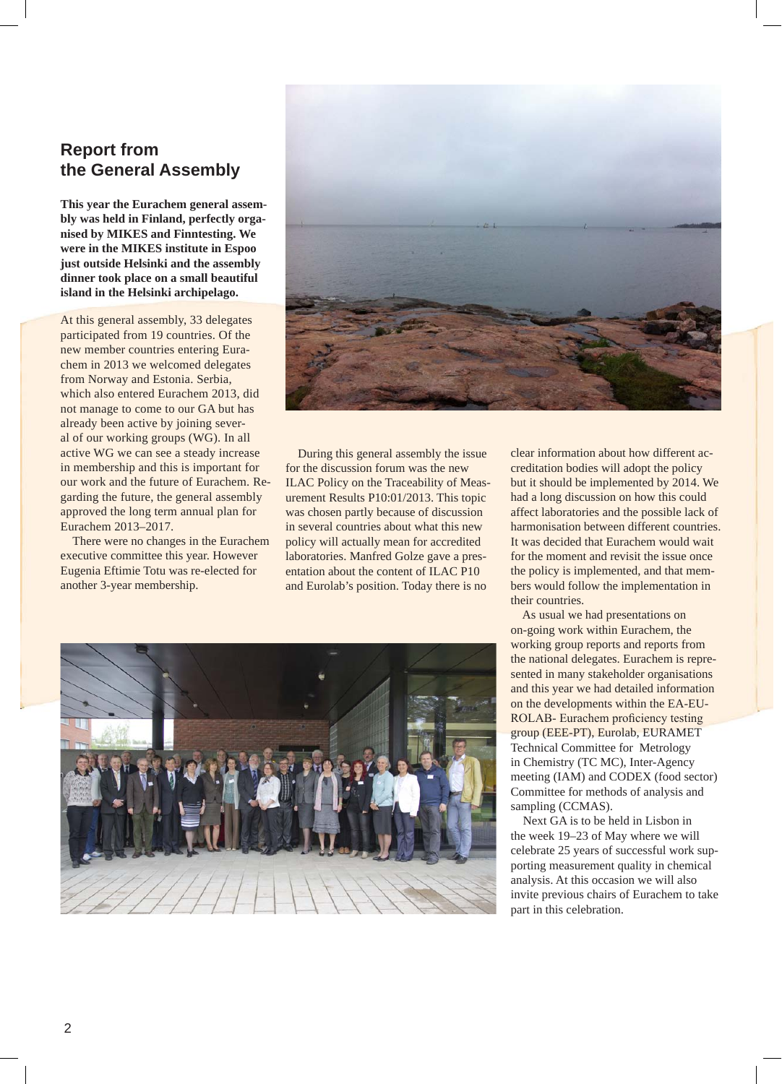## **Report from the General Assembly**

**This year the Eurachem general assembly was held in Finland, perfectly organised by MIKES and Finntesting. We were in the MIKES institute in Espoo just outside Helsinki and the assembly dinner took place on a small beautiful island in the Helsinki archipelago.**

At this general assembly, 33 delegates participated from 19 countries. Of the new member countries entering Eurachem in 2013 we welcomed delegates from Norway and Estonia. Serbia, which also entered Eurachem 2013, did not manage to come to our GA but has already been active by joining several of our working groups (WG). In all active WG we can see a steady increase in membership and this is important for our work and the future of Eurachem. Regarding the future, the general assembly approved the long term annual plan for Eurachem 2013–2017.

 There were no changes in the Eurachem executive committee this year. However Eugenia Eftimie Totu was re-elected for another 3-year membership.



 During this general assembly the issue for the discussion forum was the new ILAC Policy on the Traceability of Measurement Results P10:01/2013. This topic was chosen partly because of discussion in several countries about what this new policy will actually mean for accredited laboratories. Manfred Golze gave a presentation about the content of ILAC P10 and Eurolab's position. Today there is no



clear information about how different accreditation bodies will adopt the policy but it should be implemented by 2014. We had a long discussion on how this could affect laboratories and the possible lack of harmonisation between different countries. It was decided that Eurachem would wait for the moment and revisit the issue once the policy is implemented, and that members would follow the implementation in their countries.

 As usual we had presentations on on-going work within Eurachem, the working group reports and reports from the national delegates. Eurachem is represented in many stakeholder organisations and this year we had detailed information on the developments within the EA-EU-ROLAB- Eurachem proficiency testing group (EEE-PT), Eurolab, EURAMET Technical Committee for Metrology in Chemistry (TC MC), Inter-Agency meeting (IAM) and CODEX (food sector) Committee for methods of analysis and sampling (CCMAS).

 Next GA is to be held in Lisbon in the week 19–23 of May where we will celebrate 25 years of successful work supporting measurement quality in chemical analysis. At this occasion we will also invite previous chairs of Eurachem to take part in this celebration.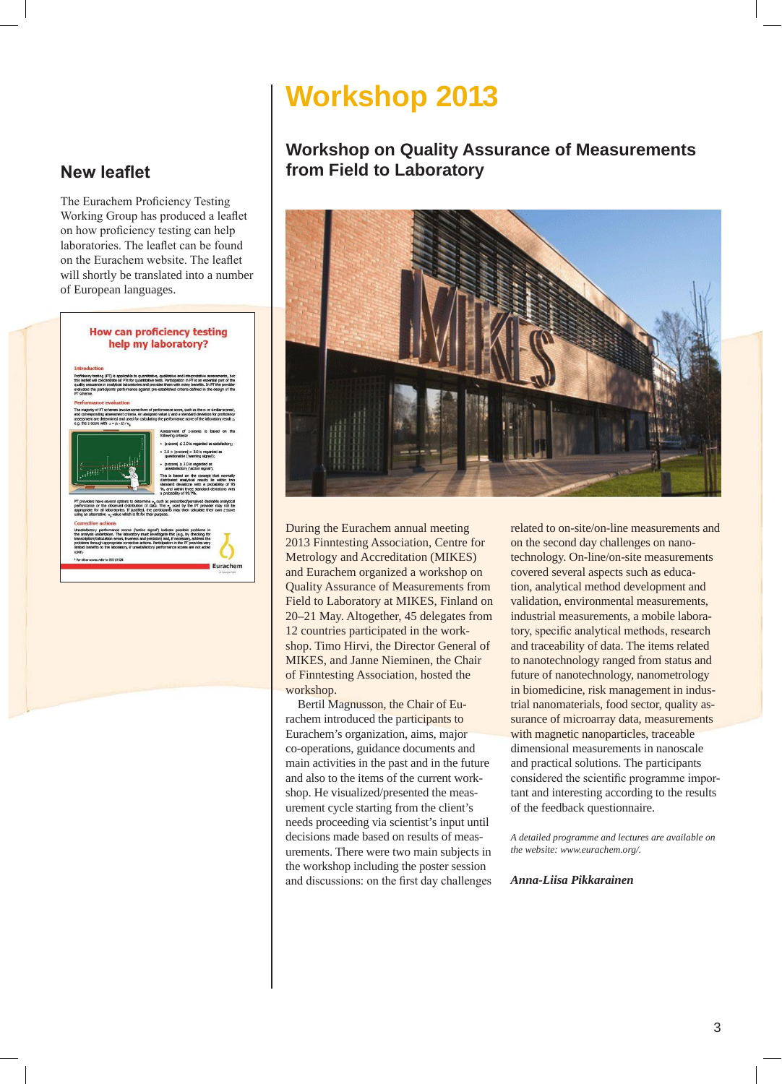## **Workshop 2013**

## **Workshop on Quality Assurance of Measurements from Field to Laboratory**



During the Eurachem annual meeting 2013 Finntesting Association, Centre for Metrology and Accreditation (MIKES) and Eurachem organized a workshop on Quality Assurance of Measurements from Field to Laboratory at MIKES, Finland on 20–21 May. Altogether, 45 delegates from 12 countries participated in the workshop. Timo Hirvi, the Director General of MIKES, and Janne Nieminen, the Chair of Finntesting Association, hosted the workshop.

Bertil Magnusson, the Chair of Eurachem introduced the participants to Eurachem's organization, aims, major co-operations, guidance documents and main activities in the past and in the future and also to the items of the current workshop. He visualized/presented the measurement cycle starting from the client's needs proceeding via scientist's input until decisions made based on results of measurements. There were two main subjects in the workshop including the poster session and discussions: on the first day challenges related to on-site/on-line measurements and on the second day challenges on nanotechnology. On-line/on-site measurements covered several aspects such as education, analytical method development and validation, environmental measurements, industrial measurements, a mobile laboratory, specific analytical methods, research and traceability of data. The items related to nanotechnology ranged from status and future of nanotechnology, nanometrology in biomedicine, risk management in industrial nanomaterials, food sector, quality assurance of microarray data, measurements with magnetic nanoparticles, traceable dimensional measurements in nanoscale and practical solutions. The participants considered the scientific programme important and interesting according to the results of the feedback questionnaire.

*A detailed programme and lectures are available on the website: www.eurachem.org/.*

*Anna-Liisa Pikkarainen*

## **New leaflet**

The Eurachem Proficiency Testing Working Group has produced a leaflet on how proficiency testing can help laboratories. The leaflet can be found on the Eurachem website. The leaflet will shortly be translated into a number of European languages.

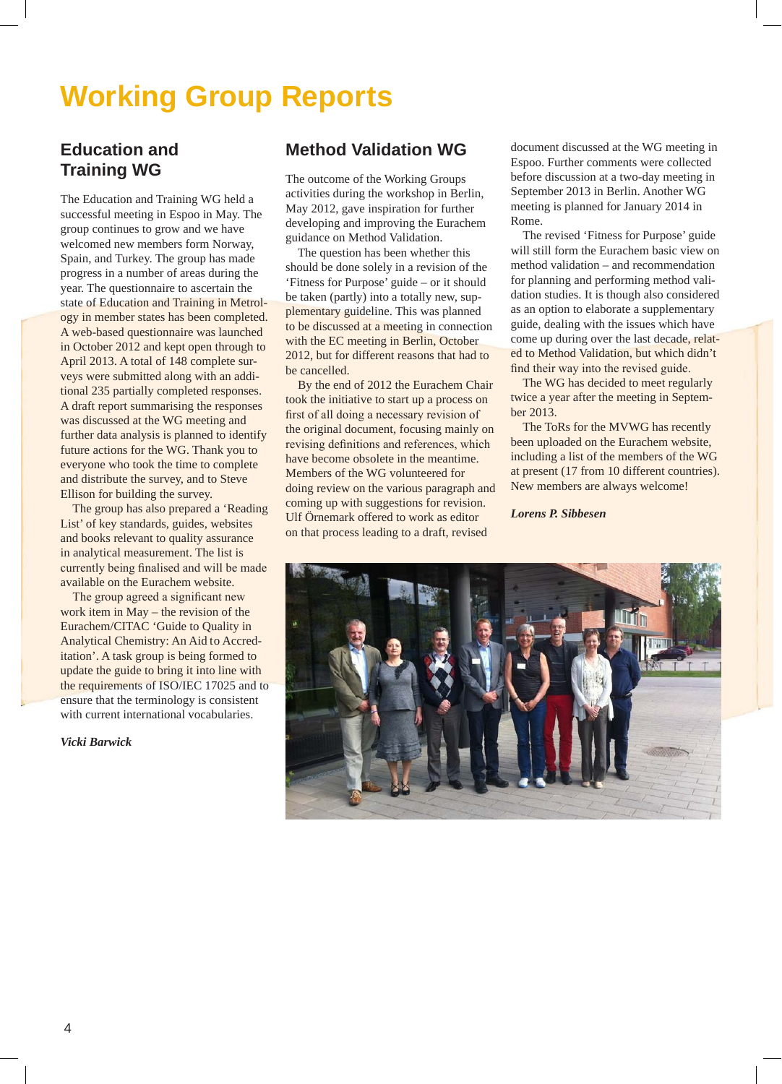## **Working Group Reports**

## **Education and Training WG**

The Education and Training WG held a successful meeting in Espoo in May. The group continues to grow and we have welcomed new members form Norway, Spain, and Turkey. The group has made progress in a number of areas during the year. The questionnaire to ascertain the state of Education and Training in Metrology in member states has been completed. A web-based questionnaire was launched in October 2012 and kept open through to April 2013. A total of 148 complete surveys were submitted along with an additional 235 partially completed responses. A draft report summarising the responses was discussed at the WG meeting and further data analysis is planned to identify future actions for the WG. Thank you to everyone who took the time to complete and distribute the survey, and to Steve Ellison for building the survey.

 The group has also prepared a 'Reading List' of key standards, guides, websites and books relevant to quality assurance in analytical measurement. The list is currently being finalised and will be made available on the Eurachem website.

 The group agreed a significant new work item in May – the revision of the Eurachem/CITAC 'Guide to Quality in Analytical Chemistry: An Aid to Accreditation'. A task group is being formed to update the guide to bring it into line with the requirements of ISO/IEC 17025 and to ensure that the terminology is consistent with current international vocabularies.

*Vicki Barwick*

## **Method Validation WG**

The outcome of the Working Groups activities during the workshop in Berlin, May 2012, gave inspiration for further developing and improving the Eurachem guidance on Method Validation.

 The question has been whether this should be done solely in a revision of the 'Fitness for Purpose' guide – or it should be taken (partly) into a totally new, supplementary guideline. This was planned to be discussed at a meeting in connection with the EC meeting in Berlin, October 2012, but for different reasons that had to be cancelled.

 By the end of 2012 the Eurachem Chair took the initiative to start up a process on first of all doing a necessary revision of the original document, focusing mainly on revising definitions and references, which have become obsolete in the meantime. Members of the WG volunteered for doing review on the various paragraph and coming up with suggestions for revision. Ulf Örnemark offered to work as editor on that process leading to a draft, revised

document discussed at the WG meeting in Espoo. Further comments were collected before discussion at a two-day meeting in September 2013 in Berlin. Another WG meeting is planned for January 2014 in Rome.

 The revised 'Fitness for Purpose' guide will still form the Eurachem basic view on method validation – and recommendation for planning and performing method validation studies. It is though also considered as an option to elaborate a supplementary guide, dealing with the issues which have come up during over the last decade, related to Method Validation, but which didn't find their way into the revised guide.

 The WG has decided to meet regularly twice a year after the meeting in September 2013.

 The ToRs for the MVWG has recently been uploaded on the Eurachem website, including a list of the members of the WG at present (17 from 10 different countries). New members are always welcome!

*Lorens P. Sibbesen*

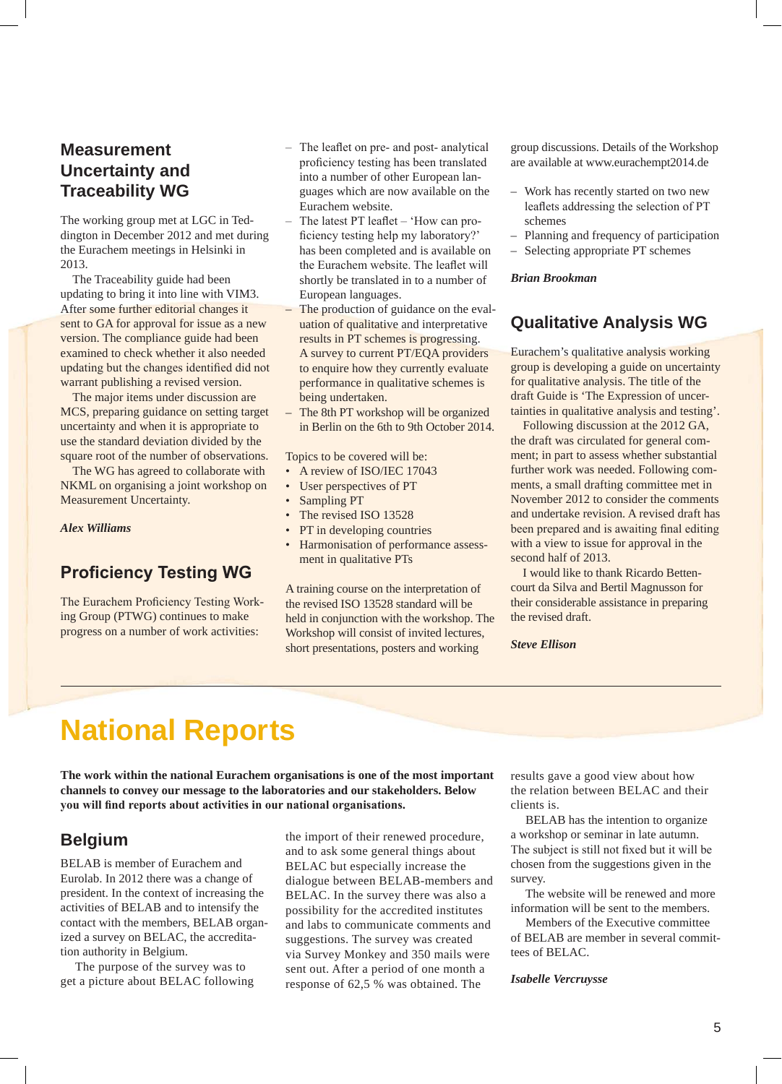## **Measurement Uncertainty and Traceability WG**

The working group met at LGC in Teddington in December 2012 and met during the Eurachem meetings in Helsinki in 2013.

 The Traceability guide had been updating to bring it into line with VIM3. After some further editorial changes it sent to GA for approval for issue as a new version. The compliance guide had been examined to check whether it also needed updating but the changes identified did not warrant publishing a revised version.

 The major items under discussion are MCS, preparing guidance on setting target uncertainty and when it is appropriate to use the standard deviation divided by the square root of the number of observations.

 The WG has agreed to collaborate with NKML on organising a joint workshop on Measurement Uncertainty.

*Alex Williams*

## **Proficiency Testing WG**

The Eurachem Proficiency Testing Working Group (PTWG) continues to make progress on a number of work activities:

- The leaflet on pre- and post- analytical proficiency testing has been translated into a number of other European languages which are now available on the Eurachem website.
- The latest PT leaflet 'How can proficiency testing help my laboratory?' has been completed and is available on the Eurachem website. The leaflet will shortly be translated in to a number of European languages.
- The production of guidance on the evaluation of qualitative and interpretative results in PT schemes is progressing. A survey to current PT/EQA providers to enquire how they currently evaluate performance in qualitative schemes is being undertaken.
- The 8th PT workshop will be organized in Berlin on the 6th to 9th October 2014.

Topics to be covered will be:

- A review of ISO/IEC 17043
- User perspectives of PT
- Sampling PT
- The revised ISO 13528
- PT in developing countries
- Harmonisation of performance assessment in qualitative PTs

A training course on the interpretation of the revised ISO 13528 standard will be held in conjunction with the workshop. The Workshop will consist of invited lectures, short presentations, posters and working

group discussions. Details of the Workshop are available at www.eurachempt2014.de

- Work has recently started on two new leaflets addressing the selection of PT schemes
- Planning and frequency of participation
- Selecting appropriate PT schemes

#### *Brian Brookman*

### **Qualitative Analysis WG**

Eurachem's qualitative analysis working group is developing a guide on uncertainty for qualitative analysis. The title of the draft Guide is 'The Expression of uncertainties in qualitative analysis and testing'.

 Following discussion at the 2012 GA, the draft was circulated for general comment; in part to assess whether substantial further work was needed. Following comments, a small drafting committee met in November 2012 to consider the comments and undertake revision. A revised draft has been prepared and is awaiting final editing with a view to issue for approval in the second half of 2013.

I would like to thank Ricardo Bettencourt da Silva and Bertil Magnusson for their considerable assistance in preparing the revised draft.

*Steve Ellison*

## **National Reports**

**The work within the national Eurachem organisations is one of the most important channels to convey our message to the laboratories and our stakeholders. Below you will find reports about activities in our national organisations.**

## **Belgium**

BELAB is member of Eurachem and Eurolab. In 2012 there was a change of president. In the context of increasing the activities of BELAB and to intensify the contact with the members, BELAB organized a survey on BELAC, the accreditation authority in Belgium.

The purpose of the survey was to get a picture about BELAC following the import of their renewed procedure, and to ask some general things about BELAC but especially increase the dialogue between BELAB-members and BELAC. In the survey there was also a possibility for the accredited institutes and labs to communicate comments and suggestions. The survey was created via Survey Monkey and 350 mails were sent out. After a period of one month a response of 62,5 % was obtained. The

results gave a good view about how the relation between BELAC and their clients is.

 BELAB has the intention to organize a workshop or seminar in late autumn. The subject is still not fixed but it will be chosen from the suggestions given in the survey.

 The website will be renewed and more information will be sent to the members.

 Members of the Executive committee of BELAB are member in several committees of BELAC.

*Isabelle Vercruysse*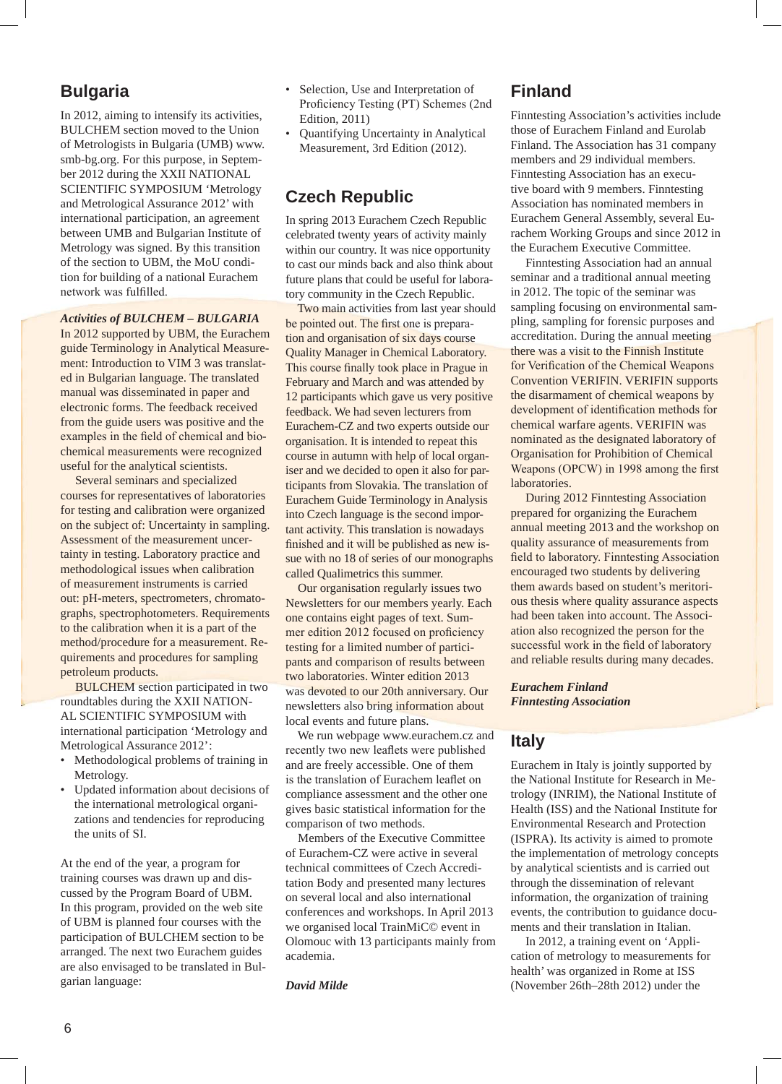## **Bulgaria**

In 2012, aiming to intensify its activities, BULCHEM section moved to the Union of Metrologists in Bulgaria (UMB) www. smb-bg.org. For this purpose, in September 2012 during the XXII NATIONAL SCIENTIFIC SYMPOSIUM 'Metrology and Metrological Assurance 2012' with international participation, an agreement between UMB and Bulgarian Institute of Metrology was signed. By this transition of the section to UBM, the MoU condition for building of a national Eurachem network was fulfilled.

#### *Activities of BULCHEM – BULGARIA*

In 2012 supported by UBM, the Eurachem guide Terminology in Analytical Measurement: Introduction to VIM 3 was translated in Bulgarian language. The translated manual was disseminated in paper and electronic forms. The feedback received from the guide users was positive and the examples in the field of chemical and biochemical measurements were recognized useful for the analytical scientists.

 Several seminars and specialized courses for representatives of laboratories for testing and calibration were organized on the subject of: Uncertainty in sampling. Assessment of the measurement uncertainty in testing. Laboratory practice and methodological issues when calibration of measurement instruments is carried out: pH-meters, spectrometers, chromatographs, spectrophotometers. Requirements to the calibration when it is a part of the method/procedure for a measurement. Requirements and procedures for sampling petroleum products.

 BULCHEM section participated in two roundtables during the XXII NATION-AL SCIENTIFIC SYMPOSIUM with international participation 'Metrology and Metrological Assurance 2012':

- Methodological problems of training in Metrology.
- Updated information about decisions of the international metrological organizations and tendencies for reproducing the units of SI.

At the end of the year, a program for training courses was drawn up and discussed by the Program Board of UBM. In this program, provided on the web site of UBM is planned four courses with the participation of BULCHEM section to be arranged. The next two Eurachem guides are also envisaged to be translated in Bulgarian language:

- Selection, Use and Interpretation of Proficiency Testing (PT) Schemes (2nd Edition, 2011)
- Quantifying Uncertainty in Analytical Measurement, 3rd Edition (2012).

## **Czech Republic**

In spring 2013 Eurachem Czech Republic celebrated twenty years of activity mainly within our country. It was nice opportunity to cast our minds back and also think about future plans that could be useful for laboratory community in the Czech Republic.

Two main activities from last year should be pointed out. The first one is preparation and organisation of six days course Quality Manager in Chemical Laboratory. This course finally took place in Prague in February and March and was attended by 12 participants which gave us very positive feedback. We had seven lecturers from Eurachem-CZ and two experts outside our organisation. It is intended to repeat this course in autumn with help of local organiser and we decided to open it also for participants from Slovakia. The translation of Eurachem Guide Terminology in Analysis into Czech language is the second important activity. This translation is nowadays finished and it will be published as new issue with no 18 of series of our monographs called Qualimetrics this summer.

 Our organisation regularly issues two Newsletters for our members yearly. Each one contains eight pages of text. Summer edition 2012 focused on proficiency testing for a limited number of participants and comparison of results between two laboratories. Winter edition 2013 was devoted to our 20th anniversary. Our newsletters also bring information about local events and future plans.

 We run webpage www.eurachem.cz and recently two new leaflets were published and are freely accessible. One of them is the translation of Eurachem leaflet on compliance assessment and the other one gives basic statistical information for the comparison of two methods.

 Members of the Executive Committee of Eurachem-CZ were active in several technical committees of Czech Accreditation Body and presented many lectures on several local and also international conferences and workshops. In April 2013 we organised local TrainMiC© event in Olomouc with 13 participants mainly from academia.

#### *David Milde*

## **Finland**

Finntesting Association's activities include those of Eurachem Finland and Eurolab Finland. The Association has 31 company members and 29 individual members. Finntesting Association has an executive board with 9 members. Finntesting Association has nominated members in Eurachem General Assembly, several Eurachem Working Groups and since 2012 in the Eurachem Executive Committee.

 Finntesting Association had an annual seminar and a traditional annual meeting in 2012. The topic of the seminar was sampling focusing on environmental sampling, sampling for forensic purposes and accreditation. During the annual meeting there was a visit to the Finnish Institute for Verification of the Chemical Weapons Convention VERIFIN. VERIFIN supports the disarmament of chemical weapons by development of identification methods for chemical warfare agents. VERIFIN was nominated as the designated laboratory of Organisation for Prohibition of Chemical Weapons (OPCW) in 1998 among the first laboratories.

 During 2012 Finntesting Association prepared for organizing the Eurachem annual meeting 2013 and the workshop on quality assurance of measurements from field to laboratory. Finntesting Association encouraged two students by delivering them awards based on student's meritorious thesis where quality assurance aspects had been taken into account. The Association also recognized the person for the successful work in the field of laboratory and reliable results during many decades.

#### *Eurachem Finland Finntesting Association*

## **Italy**

Eurachem in Italy is jointly supported by the National Institute for Research in Metrology (INRIM), the National Institute of Health (ISS) and the National Institute for Environmental Research and Protection (ISPRA). Its activity is aimed to promote the implementation of metrology concepts by analytical scientists and is carried out through the dissemination of relevant information, the organization of training events, the contribution to guidance documents and their translation in Italian.

 In 2012, a training event on 'Application of metrology to measurements for health' was organized in Rome at ISS (November 26th–28th 2012) under the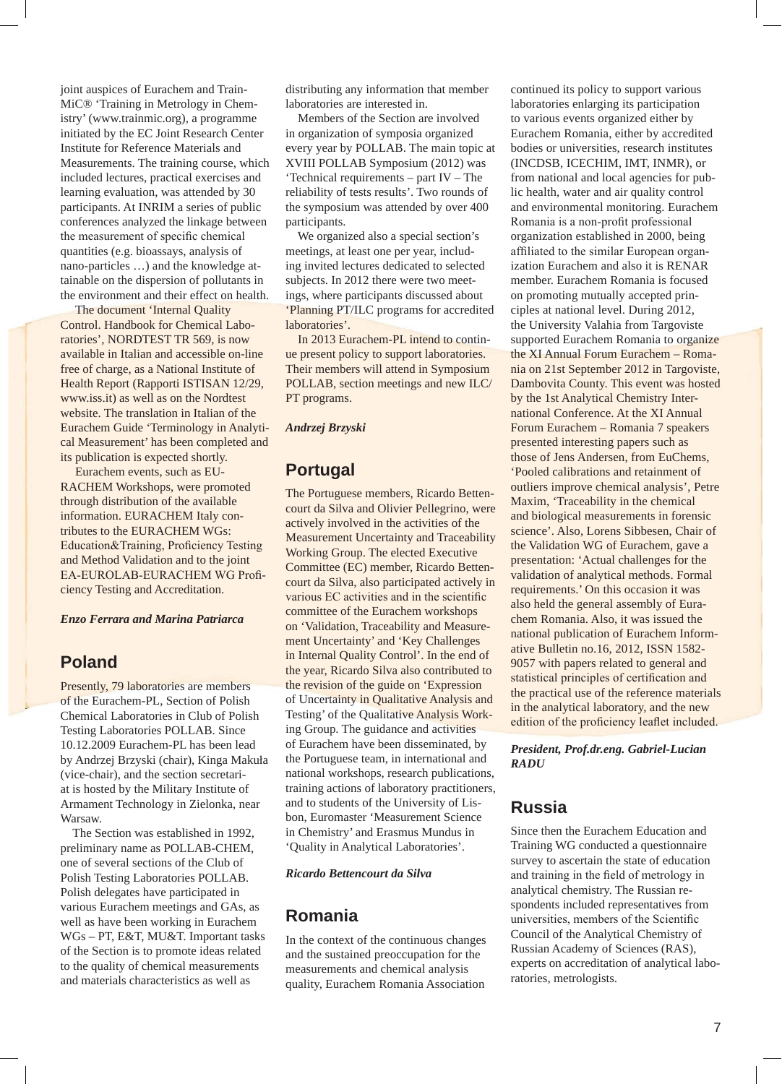joint auspices of Eurachem and Train-MiC® 'Training in Metrology in Chemistry' (www.trainmic.org), a programme initiated by the EC Joint Research Center Institute for Reference Materials and Measurements. The training course, which included lectures, practical exercises and learning evaluation, was attended by 30 participants. At INRIM a series of public conferences analyzed the linkage between the measurement of specific chemical quantities (e.g. bioassays, analysis of nano-particles …) and the knowledge attainable on the dispersion of pollutants in the environment and their effect on health.

 The document 'Internal Quality Control. Handbook for Chemical Laboratories', NORDTEST TR 569, is now available in Italian and accessible on-line free of charge, as a National Institute of Health Report (Rapporti ISTISAN 12/29, www.iss.it) as well as on the Nordtest website. The translation in Italian of the Eurachem Guide 'Terminology in Analytical Measurement' has been completed and its publication is expected shortly.

Eurachem events, such as EU-RACHEM Workshops, were promoted through distribution of the available information. EURACHEM Italy contributes to the EURACHEM WGs: Education&Training, Proficiency Testing and Method Validation and to the joint EA-EUROLAB-EURACHEM WG Proficiency Testing and Accreditation.

#### *Enzo Ferrara and Marina Patriarca*

### **Poland**

Presently, 79 laboratories are members of the Eurachem-PL, Section of Polish Chemical Laboratories in Club of Polish Testing Laboratories POLLAB. Since 10.12.2009 Eurachem-PL has been lead by Andrzej Brzyski (chair), Kinga Makuła (vice-chair), and the section secretariat is hosted by the Military Institute of Armament Technology in Zielonka, near Warsaw.

 The Section was established in 1992, preliminary name as POLLAB-CHEM, one of several sections of the Club of Polish Testing Laboratories POLLAB. Polish delegates have participated in various Eurachem meetings and GAs, as well as have been working in Eurachem WGs – PT, E&T, MU&T. Important tasks of the Section is to promote ideas related to the quality of chemical measurements and materials characteristics as well as

distributing any information that member laboratories are interested in.

 Members of the Section are involved in organization of symposia organized every year by POLLAB. The main topic at XVIII POLLAB Symposium (2012) was 'Technical requirements – part IV – The reliability of tests results'. Two rounds of the symposium was attended by over 400 participants.

 We organized also a special section's meetings, at least one per year, including invited lectures dedicated to selected subjects. In 2012 there were two meetings, where participants discussed about 'Planning PT/ILC programs for accredited laboratories'.

 In 2013 Eurachem-PL intend to continue present policy to support laboratories. Their members will attend in Symposium POLLAB, section meetings and new ILC/ PT programs.

#### *Andrzej Brzyski*

### **Portugal**

The Portuguese members, Ricardo Bettencourt da Silva and Olivier Pellegrino, were actively involved in the activities of the Measurement Uncertainty and Traceability Working Group. The elected Executive Committee (EC) member, Ricardo Bettencourt da Silva, also participated actively in various EC activities and in the scientific committee of the Eurachem workshops on 'Validation, Traceability and Measurement Uncertainty' and 'Key Challenges in Internal Quality Control'. In the end of the year, Ricardo Silva also contributed to the revision of the guide on 'Expression of Uncertainty in Qualitative Analysis and Testing' of the Qualitative Analysis Working Group. The guidance and activities of Eurachem have been disseminated, by the Portuguese team, in international and national workshops, research publications, training actions of laboratory practitioners, and to students of the University of Lisbon, Euromaster 'Measurement Science in Chemistry' and Erasmus Mundus in 'Quality in Analytical Laboratories'.

#### *Ricardo Bettencourt da Silva*

## **Romania**

In the context of the continuous changes and the sustained preoccupation for the measurements and chemical analysis quality, Eurachem Romania Association

continued its policy to support various laboratories enlarging its participation to various events organized either by Eurachem Romania, either by accredited bodies or universities, research institutes (INCDSB, ICECHIM, IMT, INMR), or from national and local agencies for public health, water and air quality control and environmental monitoring. Eurachem Romania is a non-profit professional organization established in 2000, being affiliated to the similar European organization Eurachem and also it is RENAR member. Eurachem Romania is focused on promoting mutually accepted principles at national level. During 2012, the University Valahia from Targoviste supported Eurachem Romania to organize the XI Annual Forum Eurachem – Romania on 21st September 2012 in Targoviste, Dambovita County. This event was hosted by the 1st Analytical Chemistry International Conference. At the XI Annual Forum Eurachem – Romania 7 speakers presented interesting papers such as those of Jens Andersen, from EuChems, 'Pooled calibrations and retainment of outliers improve chemical analysis', Petre Maxim, 'Traceability in the chemical and biological measurements in forensic science'. Also, Lorens Sibbesen, Chair of the Validation WG of Eurachem, gave a presentation: 'Actual challenges for the validation of analytical methods. Formal requirements.' On this occasion it was also held the general assembly of Eurachem Romania. Also, it was issued the national publication of Eurachem Informative Bulletin no.16, 2012, ISSN 1582- 9057 with papers related to general and statistical principles of certification and the practical use of the reference materials in the analytical laboratory, and the new edition of the proficiency leaflet included.

*President, Prof.dr.eng. Gabriel-Lucian RADU*

### **Russia**

Since then the Eurachem Education and Training WG conducted a questionnaire survey to ascertain the state of education and training in the field of metrology in analytical chemistry. The Russian respondents included representatives from universities, members of the Scientific Council of the Analytical Chemistry of Russian Academy of Sciences (RAS), experts on accreditation of analytical laboratories, metrologists.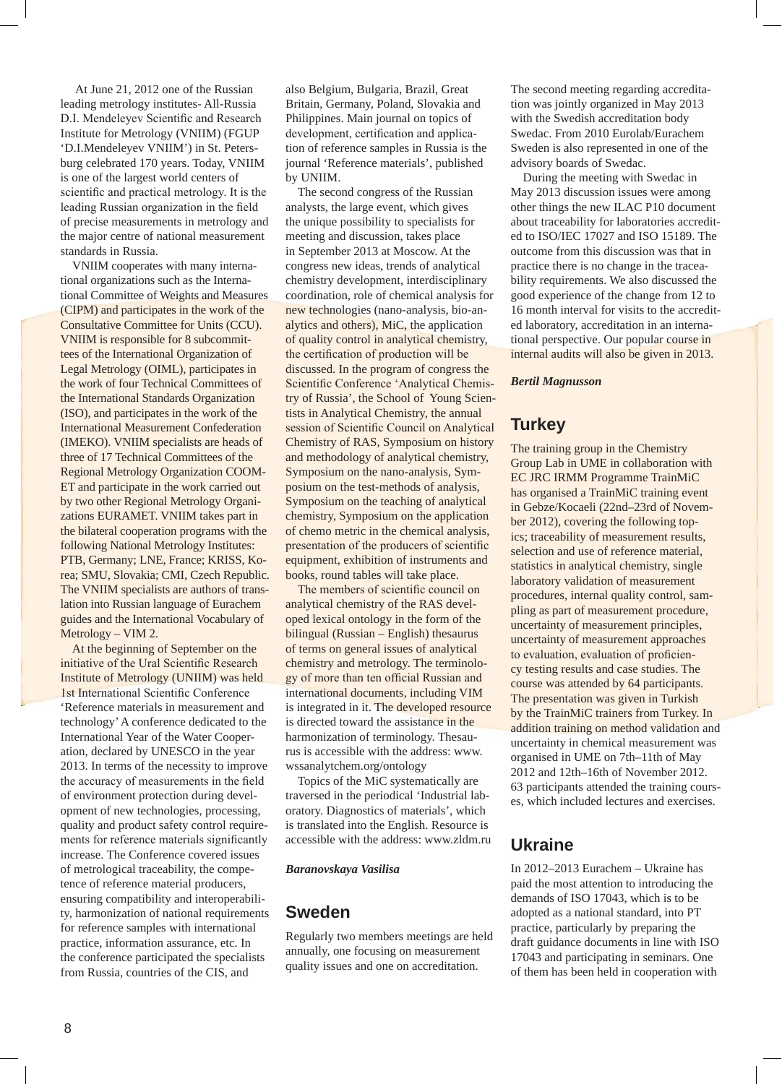At June 21, 2012 one of the Russian leading metrology institutes- All-Russia D.I. Mendeleyev Scientific and Research Institute for Metrology (VNIIM) (FGUP 'D.I.Mendeleyev VNIIM') in St. Petersburg celebrated 170 years. Today, VNIIM is one of the largest world centers of scientific and practical metrology. It is the leading Russian organization in the field of precise measurements in metrology and the major centre of national measurement standards in Russia.

VNIIM cooperates with many international organizations such as the International Committee of Weights and Measures (CIPM) and participates in the work of the Consultative Committee for Units (CCU). VNIIM is responsible for 8 subcommittees of the International Organization of Legal Metrology (OIML), participates in the work of four Technical Committees of the International Standards Organization (ISO), and participates in the work of the International Measurement Confederation (IMEKO). VNIIM specialists are heads of three of 17 Technical Committees of the Regional Metrology Organization COOM-ET and participate in the work carried out by two other Regional Metrology Organizations EURAMET. VNIIM takes part in the bilateral cooperation programs with the following National Metrology Institutes: PTB, Germany; LNE, France; KRISS, Korea; SMU, Slovakia; CMI, Czech Republic. The VNIIM specialists are authors of translation into Russian language of Eurachem guides and the International Vocabulary of Metrology – VIM 2.

 At the beginning of September on the initiative of the Ural Scientific Research Institute of Metrology (UNIIM) was held 1st International Scientific Conference 'Reference materials in measurement and technology' A conference dedicated to the International Year of the Water Cooperation, declared by UNESCO in the year 2013. In terms of the necessity to improve the accuracy of measurements in the field of environment protection during development of new technologies, processing, quality and product safety control requirements for reference materials significantly increase. The Conference covered issues of metrological traceability, the competence of reference material producers, ensuring compatibility and interoperability, harmonization of national requirements for reference samples with international practice, information assurance, etc. In the conference participated the specialists from Russia, countries of the CIS, and

also Belgium, Bulgaria, Brazil, Great Britain, Germany, Poland, Slovakia and Philippines. Main journal on topics of development, certification and application of reference samples in Russia is the journal 'Reference materials', published by UNIIM.

 The second congress of the Russian analysts, the large event, which gives the unique possibility to specialists for meeting and discussion, takes place in September 2013 at Moscow. At the congress new ideas, trends of analytical chemistry development, interdisciplinary coordination, role of chemical analysis for new technologies (nano-analysis, bio-analytics and others), MiC, the application of quality control in analytical chemistry, the certification of production will be discussed. In the program of congress the Scientific Conference 'Analytical Chemistry of Russia', the School of Young Scientists in Analytical Chemistry, the annual session of Scientific Council on Analytical Chemistry of RAS, Symposium on history and methodology of analytical chemistry, Symposium on the nano-analysis, Symposium on the test-methods of analysis, Symposium on the teaching of analytical chemistry, Symposium on the application of chemo metric in the chemical analysis, presentation of the producers of scientific equipment, exhibition of instruments and books, round tables will take place.

 The members of scientific council on analytical chemistry of the RAS developed lexical ontology in the form of the bilingual (Russian – English) thesaurus of terms on general issues of analytical chemistry and metrology. The terminology of more than ten official Russian and international documents, including VIM is integrated in it. The developed resource is directed toward the assistance in the harmonization of terminology. Thesaurus is accessible with the address: www. wssanalytchem.org/ontology

 Topics of the MiC systematically are traversed in the periodical 'Industrial laboratory. Diagnostics of materials', which is translated into the English. Resource is accessible with the address: www.zldm.ru

#### *Baranovskaya Vasilisa*

## **Sweden**

Regularly two members meetings are held annually, one focusing on measurement quality issues and one on accreditation.

The second meeting regarding accreditation was jointly organized in May 2013 with the Swedish accreditation body Swedac. From 2010 Eurolab/Eurachem Sweden is also represented in one of the advisory boards of Swedac.

 During the meeting with Swedac in May 2013 discussion issues were among other things the new ILAC P10 document about traceability for laboratories accredited to ISO/IEC 17027 and ISO 15189. The outcome from this discussion was that in practice there is no change in the traceability requirements. We also discussed the good experience of the change from 12 to 16 month interval for visits to the accredited laboratory, accreditation in an international perspective. Our popular course in internal audits will also be given in 2013.

#### *Bertil Magnusson*

### **Turkey**

The training group in the Chemistry Group Lab in UME in collaboration with EC JRC IRMM Programme TrainMiC has organised a TrainMiC training event in Gebze/Kocaeli (22nd–23rd of November 2012), covering the following topics; traceability of measurement results, selection and use of reference material, statistics in analytical chemistry, single laboratory validation of measurement procedures, internal quality control, sampling as part of measurement procedure, uncertainty of measurement principles, uncertainty of measurement approaches to evaluation, evaluation of proficiency testing results and case studies. The course was attended by 64 participants. The presentation was given in Turkish by the TrainMiC trainers from Turkey. In addition training on method validation and uncertainty in chemical measurement was organised in UME on 7th–11th of May 2012 and 12th–16th of November 2012. 63 participants attended the training courses, which included lectures and exercises.

### **Ukraine**

In 2012–2013 Eurachem – Ukraine has paid the most attention to introducing the demands of ISO 17043, which is to be adopted as a national standard, into PT practice, particularly by preparing the draft guidance documents in line with ISO 17043 and participating in seminars. One of them has been held in cooperation with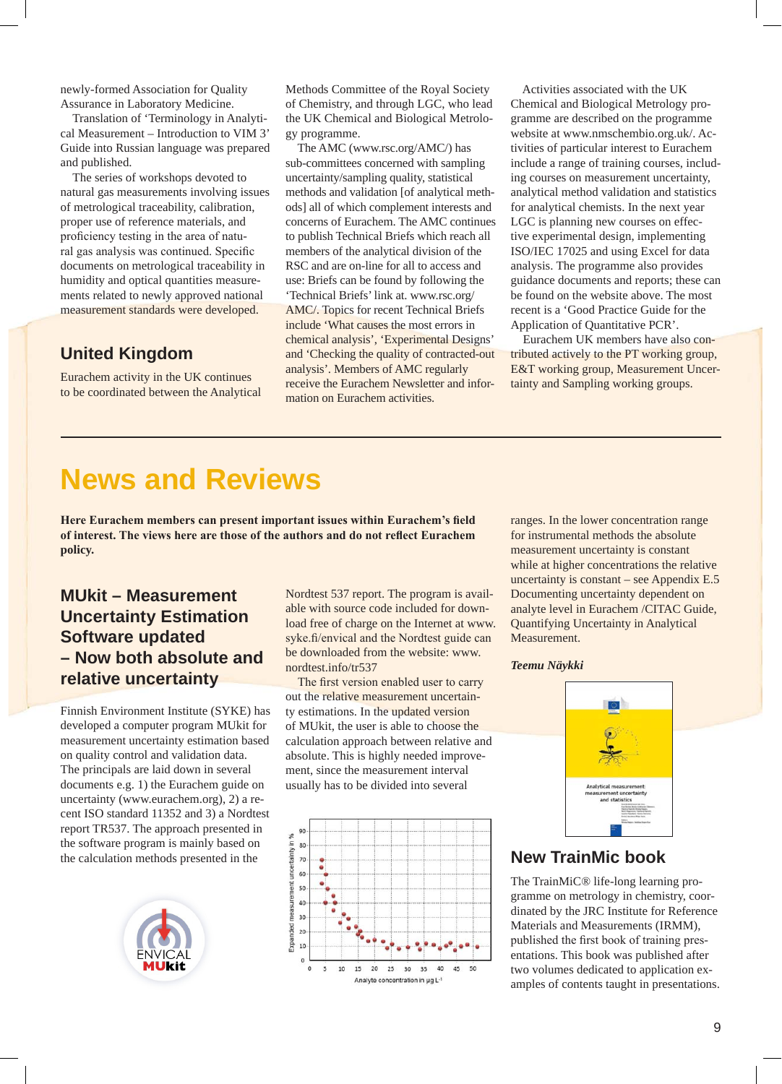newly-formed Association for Quality Assurance in Laboratory Medicine.

 Translation of 'Terminology in Analytical Measurement – Introduction to VIM 3' Guide into Russian language was prepared and published.

 The series of workshops devoted to natural gas measurements involving issues of metrological traceability, calibration, proper use of reference materials, and proficiency testing in the area of natural gas analysis was continued. Specific documents on metrological traceability in humidity and optical quantities measurements related to newly approved national measurement standards were developed.

## **United Kingdom**

Eurachem activity in the UK continues to be coordinated between the Analytical Methods Committee of the Royal Society of Chemistry, and through LGC, who lead the UK Chemical and Biological Metrology programme.

The AMC (www.rsc.org/AMC/) has sub-committees concerned with sampling uncertainty/sampling quality, statistical methods and validation [of analytical methods] all of which complement interests and concerns of Eurachem. The AMC continues to publish Technical Briefs which reach all members of the analytical division of the RSC and are on-line for all to access and use: Briefs can be found by following the 'Technical Briefs' link at. www.rsc.org/ AMC/. Topics for recent Technical Briefs include 'What causes the most errors in chemical analysis', 'Experimental Designs' and 'Checking the quality of contracted-out analysis'. Members of AMC regularly receive the Eurachem Newsletter and information on Eurachem activities.

 Activities associated with the UK Chemical and Biological Metrology programme are described on the programme website at www.nmschembio.org.uk/. Activities of particular interest to Eurachem include a range of training courses, including courses on measurement uncertainty, analytical method validation and statistics for analytical chemists. In the next year LGC is planning new courses on effective experimental design, implementing ISO/IEC 17025 and using Excel for data analysis. The programme also provides guidance documents and reports; these can be found on the website above. The most recent is a 'Good Practice Guide for the Application of Quantitative PCR'.

 Eurachem UK members have also contributed actively to the PT working group, E&T working group, Measurement Uncertainty and Sampling working groups.

## **News and Reviews**

**Here Eurachem members can present important issues within Eurachem's field of interest. The views here are those of the authors and do not reflect Eurachem policy.**

## **MUkit – Measurement Uncertainty Estimation Software updated – Now both absolute and relative uncertainty**

Finnish Environment Institute (SYKE) has developed a computer program MUkit for measurement uncertainty estimation based on quality control and validation data. The principals are laid down in several documents e.g. 1) the Eurachem guide on uncertainty (www.eurachem.org), 2) a recent ISO standard 11352 and 3) a Nordtest report TR537. The approach presented in the software program is mainly based on the calculation methods presented in the



Nordtest 537 report. The program is available with source code included for download free of charge on the Internet at www. syke.fi/envical and the Nordtest guide can be downloaded from the website: www. nordtest.info/tr537

 The first version enabled user to carry out the relative measurement uncertainty estimations. In the updated version of MUkit, the user is able to choose the calculation approach between relative and absolute. This is highly needed improvement, since the measurement interval usually has to be divided into several



ranges. In the lower concentration range for instrumental methods the absolute measurement uncertainty is constant while at higher concentrations the relative uncertainty is constant – see Appendix E.5 Documenting uncertainty dependent on analyte level in Eurachem /CITAC Guide, Quantifying Uncertainty in Analytical Measurement.

#### *Teemu Näykki*



## **New TrainMic book**

The TrainMiC® life-long learning programme on metrology in chemistry, coordinated by the JRC Institute for Reference Materials and Measurements (IRMM), published the first book of training presentations. This book was published after two volumes dedicated to application examples of contents taught in presentations.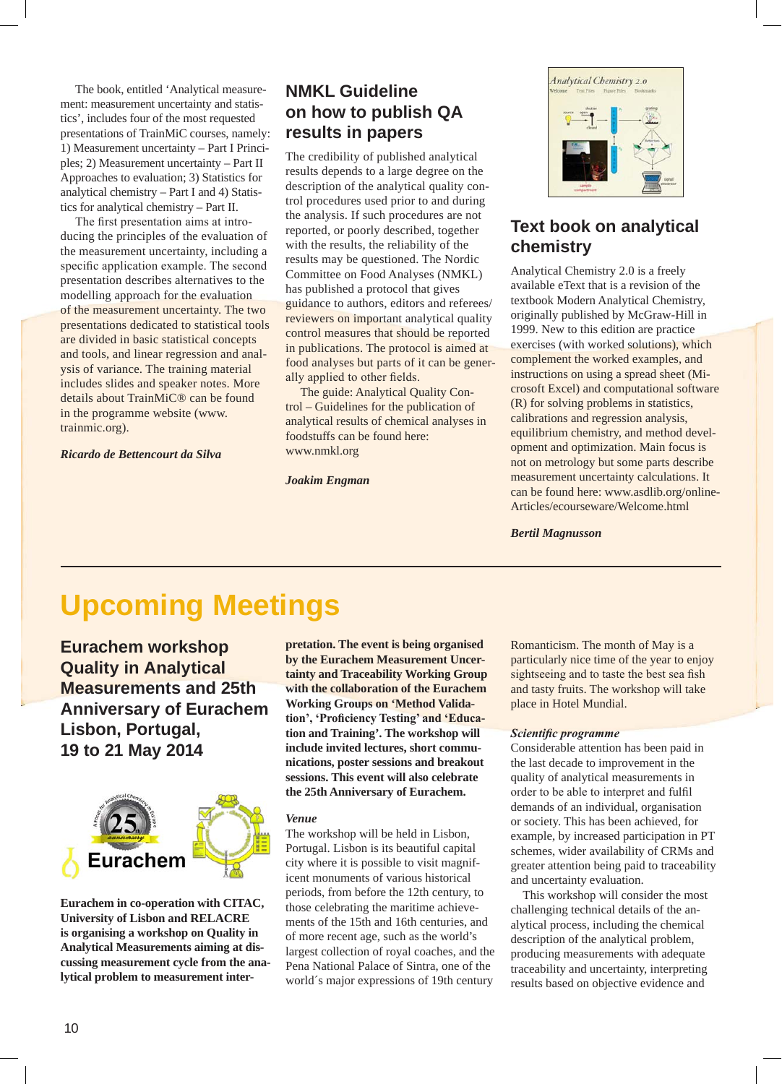The book, entitled 'Analytical measurement: measurement uncertainty and statistics', includes four of the most requested presentations of TrainMiC courses, namely: 1) Measurement uncertainty – Part I Principles; 2) Measurement uncertainty – Part II Approaches to evaluation; 3) Statistics for analytical chemistry – Part I and 4) Statistics for analytical chemistry – Part II.

The first presentation aims at introducing the principles of the evaluation of the measurement uncertainty, including a specific application example. The second presentation describes alternatives to the modelling approach for the evaluation of the measurement uncertainty. The two presentations dedicated to statistical tools are divided in basic statistical concepts and tools, and linear regression and analysis of variance. The training material includes slides and speaker notes. More details about TrainMiC® can be found in the programme website (www. trainmic.org).

*Ricardo de Bettencourt da Silva*

## **NMKL Guideline on how to publish QA results in papers**

The credibility of published analytical results depends to a large degree on the description of the analytical quality control procedures used prior to and during the analysis. If such procedures are not reported, or poorly described, together with the results, the reliability of the results may be questioned. The Nordic Committee on Food Analyses (NMKL) has published a protocol that gives guidance to authors, editors and referees/ reviewers on important analytical quality control measures that should be reported in publications. The protocol is aimed at food analyses but parts of it can be generally applied to other fields.

 The guide: Analytical Quality Control – Guidelines for the publication of analytical results of chemical analyses in foodstuffs can be found here: www.nmkl.org

*Joakim Engman*



## **Text book on analytical chemistry**

Analytical Chemistry 2.0 is a freely available eText that is a revision of the textbook Modern Analytical Chemistry, originally published by McGraw-Hill in 1999. New to this edition are practice exercises (with worked solutions), which complement the worked examples, and instructions on using a spread sheet (Microsoft Excel) and computational software (R) for solving problems in statistics, calibrations and regression analysis, equilibrium chemistry, and method development and optimization. Main focus is not on metrology but some parts describe measurement uncertainty calculations. It can be found here: www.asdlib.org/online-Articles/ecourseware/Welcome.html

*Bertil Magnusson*

## **Upcoming Meetings**

**Eurachem workshop Quality in Analytical Measurements and 25th Anniversary of Eurachem Lisbon, Portugal, 19 to 21 May 2014**



**Eurachem in co-operation with CITAC, University of Lisbon and RELACRE is organising a workshop on Quality in Analytical Measurements aiming at discussing measurement cycle from the analytical problem to measurement inter-** **pretation. The event is being organised by the Eurachem Measurement Uncertainty and Traceability Working Group with the collaboration of the Eurachem Working Groups on 'Method Validation', 'Proficiency Testing' and 'Education and Training'. The workshop will include invited lectures, short communications, poster sessions and breakout sessions. This event will also celebrate the 25th Anniversary of Eurachem.**

#### *Venue*

The workshop will be held in Lisbon, Portugal. Lisbon is its beautiful capital city where it is possible to visit magnificent monuments of various historical periods, from before the 12th century, to those celebrating the maritime achievements of the 15th and 16th centuries, and of more recent age, such as the world's largest collection of royal coaches, and the Pena National Palace of Sintra, one of the world´s major expressions of 19th century

Romanticism. The month of May is a particularly nice time of the year to enjoy sightseeing and to taste the best sea fish and tasty fruits. The workshop will take place in Hotel Mundial.

#### *Scientific programme*

Considerable attention has been paid in the last decade to improvement in the quality of analytical measurements in order to be able to interpret and fulfil demands of an individual, organisation or society. This has been achieved, for example, by increased participation in PT schemes, wider availability of CRMs and greater attention being paid to traceability and uncertainty evaluation.

 This workshop will consider the most challenging technical details of the analytical process, including the chemical description of the analytical problem, producing measurements with adequate traceability and uncertainty, interpreting results based on objective evidence and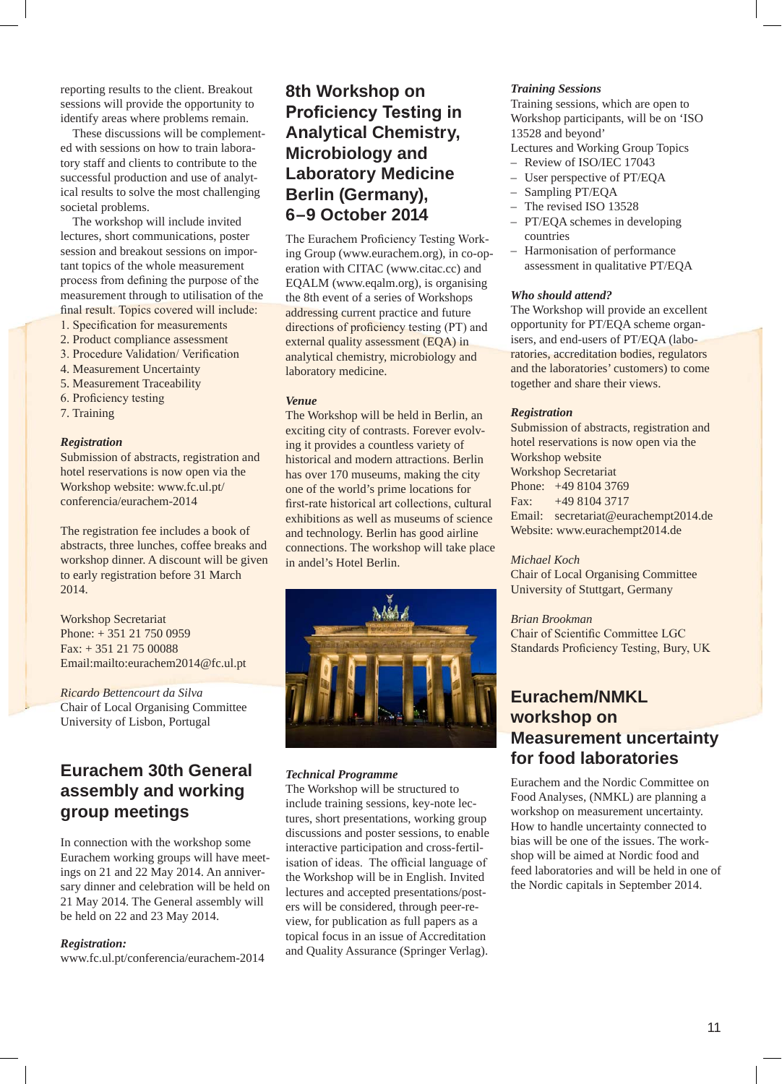reporting results to the client. Breakout sessions will provide the opportunity to identify areas where problems remain.

 These discussions will be complemented with sessions on how to train laboratory staff and clients to contribute to the successful production and use of analytical results to solve the most challenging societal problems.

 The workshop will include invited lectures, short communications, poster session and breakout sessions on important topics of the whole measurement process from defining the purpose of the measurement through to utilisation of the final result. Topics covered will include:

- 1. Specification for measurements
- 2. Product compliance assessment
- 3. Procedure Validation/ Verification
- 4. Measurement Uncertainty
- 5. Measurement Traceability
- 6. Proficiency testing
- 7. Training

#### *Registration*

Submission of abstracts, registration and hotel reservations is now open via the Workshop website: www.fc.ul.pt/ conferencia/eurachem-2014

The registration fee includes a book of abstracts, three lunches, coffee breaks and workshop dinner. A discount will be given to early registration before 31 March 2014.

Workshop Secretariat Phone: + 351 21 750 0959 Fax: + 351 21 75 00088 Email:mailto:eurachem2014@fc.ul.pt

*Ricardo Bettencourt da Silva* Chair of Local Organising Committee University of Lisbon, Portugal

## **Eurachem 30th General assembly and working group meetings**

In connection with the workshop some Eurachem working groups will have meetings on 21 and 22 May 2014. An anniversary dinner and celebration will be held on 21 May 2014. The General assembly will be held on 22 and 23 May 2014.

#### *Registration:*

www.fc.ul.pt/conferencia/eurachem-2014

## **8th Workshop on Proficiency Testing in Analytical Chemistry, Microbiology and Laboratory Medicine Berlin (Germany), 6–9 October 2014**

The Eurachem Proficiency Testing Working Group (www.eurachem.org), in co-operation with CITAC (www.citac.cc) and EQALM (www.eqalm.org), is organising the 8th event of a series of Workshops addressing current practice and future directions of proficiency testing (PT) and external quality assessment (EQA) in analytical chemistry, microbiology and laboratory medicine.

#### *Venue*

The Workshop will be held in Berlin, an exciting city of contrasts. Forever evolving it provides a countless variety of historical and modern attractions. Berlin has over 170 museums, making the city one of the world's prime locations for first-rate historical art collections, cultural exhibitions as well as museums of science and technology. Berlin has good airline connections. The workshop will take place in andel's Hotel Berlin.



#### *Technical Programme*

The Workshop will be structured to include training sessions, key-note lectures, short presentations, working group discussions and poster sessions, to enable interactive participation and cross-fertilisation of ideas. The official language of the Workshop will be in English. Invited lectures and accepted presentations/posters will be considered, through peer-review, for publication as full papers as a topical focus in an issue of Accreditation and Quality Assurance (Springer Verlag).

#### *Training Sessions*

Training sessions, which are open to Workshop participants, will be on 'ISO 13528 and beyond'

Lectures and Working Group Topics

- Review of ISO/IEC 17043
- User perspective of PT/EQA
- Sampling PT/EQA
- The revised ISO 13528
- PT/EQA schemes in developing countries
- Harmonisation of performance assessment in qualitative PT/EQA

#### *Who should attend?*

The Workshop will provide an excellent opportunity for PT/EQA scheme organisers, and end-users of PT/EQA (laboratories, accreditation bodies, regulators and the laboratories' customers) to come together and share their views.

#### *Registration*

Submission of abstracts, registration and hotel reservations is now open via the Workshop website Workshop Secretariat Phone: +49 8104 3769 Fax: +49 8104 3717 Email: secretariat@eurachempt2014.de Website: www.eurachempt2014.de

#### *Michael Koch*

Chair of Local Organising Committee University of Stuttgart, Germany

#### *Brian Brookman*

Chair of Scientific Committee LGC Standards Proficiency Testing, Bury, UK

## **Eurachem/NMKL workshop on Measurement uncertainty for food laboratories**

Eurachem and the Nordic Committee on Food Analyses, (NMKL) are planning a workshop on measurement uncertainty. How to handle uncertainty connected to bias will be one of the issues. The workshop will be aimed at Nordic food and feed laboratories and will be held in one of the Nordic capitals in September 2014.